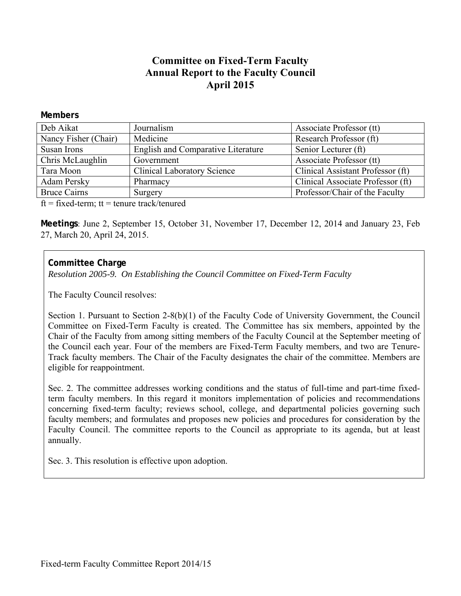# **Committee on Fixed-Term Faculty Annual Report to the Faculty Council April 2015**

#### **Members**

| Deb Aikat                    | Journalism                                | Associate Professor (tt)          |
|------------------------------|-------------------------------------------|-----------------------------------|
| Nancy Fisher (Chair)         | Medicine                                  | Research Professor (ft)           |
| Susan Irons                  | <b>English and Comparative Literature</b> | Senior Lecturer (ft)              |
| Chris McLaughlin             | Government                                | Associate Professor (tt)          |
| Tara Moon                    | <b>Clinical Laboratory Science</b>        | Clinical Assistant Professor (ft) |
| <b>Adam Persky</b>           | Pharmacy                                  | Clinical Associate Professor (ft) |
| <b>Bruce Cairns</b>          | Surgery                                   | Professor/Chair of the Faculty    |
| $\alpha$ $\alpha$ 1. $\beta$ |                                           |                                   |

 $ft = fixed-term$ ;  $tt = tenure track/tenured$ 

**Meetings**: June 2, September 15, October 31, November 17, December 12, 2014 and January 23, Feb 27, March 20, April 24, 2015.

## **Committee Charge**

*Resolution 2005-9. On Establishing the Council Committee on Fixed-Term Faculty* 

The Faculty Council resolves:

Section 1. Pursuant to Section 2-8(b)(1) of the Faculty Code of University Government, the Council Committee on Fixed-Term Faculty is created. The Committee has six members, appointed by the Chair of the Faculty from among sitting members of the Faculty Council at the September meeting of the Council each year. Four of the members are Fixed-Term Faculty members, and two are Tenure-Track faculty members. The Chair of the Faculty designates the chair of the committee. Members are eligible for reappointment.

Sec. 2. The committee addresses working conditions and the status of full-time and part-time fixedterm faculty members. In this regard it monitors implementation of policies and recommendations concerning fixed-term faculty; reviews school, college, and departmental policies governing such faculty members; and formulates and proposes new policies and procedures for consideration by the Faculty Council. The committee reports to the Council as appropriate to its agenda, but at least annually.

Sec. 3. This resolution is effective upon adoption.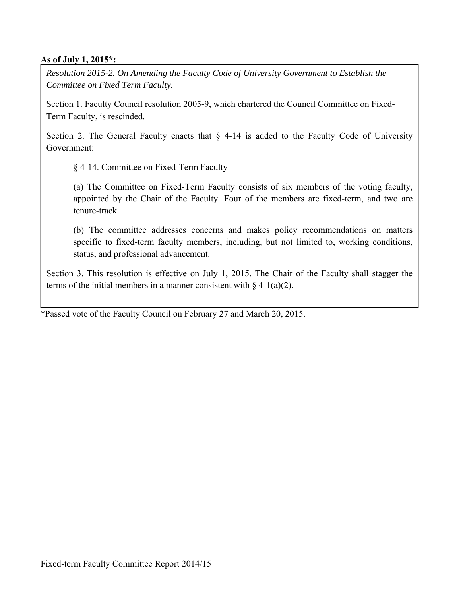#### **As of July 1, 2015\*:**

*Resolution 2015-2. On Amending the Faculty Code of University Government to Establish the Committee on Fixed Term Faculty.* 

Section 1. Faculty Council resolution 2005-9, which chartered the Council Committee on Fixed-Term Faculty, is rescinded.

Section 2. The General Faculty enacts that  $\S$  4-14 is added to the Faculty Code of University Government:

§ 4-14. Committee on Fixed-Term Faculty

 (a) The Committee on Fixed-Term Faculty consists of six members of the voting faculty, appointed by the Chair of the Faculty. Four of the members are fixed-term, and two are tenure-track.

 (b) The committee addresses concerns and makes policy recommendations on matters specific to fixed-term faculty members, including, but not limited to, working conditions, status, and professional advancement.

Section 3. This resolution is effective on July 1, 2015. The Chair of the Faculty shall stagger the terms of the initial members in a manner consistent with  $\S$  4-1(a)(2).

\*Passed vote of the Faculty Council on February 27 and March 20, 2015.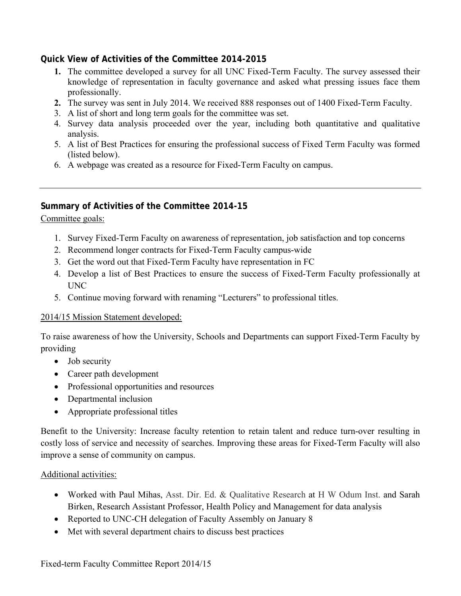## **Quick View of Activities of the Committee 2014-2015**

- **1.** The committee developed a survey for all UNC Fixed-Term Faculty. The survey assessed their knowledge of representation in faculty governance and asked what pressing issues face them professionally.
- **2.** The survey was sent in July 2014. We received 888 responses out of 1400 Fixed-Term Faculty.
- 3. A list of short and long term goals for the committee was set.
- 4. Survey data analysis proceeded over the year, including both quantitative and qualitative analysis.
- 5. A list of Best Practices for ensuring the professional success of Fixed Term Faculty was formed (listed below).
- 6. A webpage was created as a resource for Fixed-Term Faculty on campus.

## **Summary of Activities of the Committee 2014-15**

Committee goals:

- 1. Survey Fixed-Term Faculty on awareness of representation, job satisfaction and top concerns
- 2. Recommend longer contracts for Fixed-Term Faculty campus-wide
- 3. Get the word out that Fixed-Term Faculty have representation in FC
- 4. Develop a list of Best Practices to ensure the success of Fixed-Term Faculty professionally at UNC
- 5. Continue moving forward with renaming "Lecturers" to professional titles.

#### 2014/15 Mission Statement developed:

To raise awareness of how the University, Schools and Departments can support Fixed-Term Faculty by providing

- Job security
- Career path development
- Professional opportunities and resources
- Departmental inclusion
- Appropriate professional titles

Benefit to the University: Increase faculty retention to retain talent and reduce turn-over resulting in costly loss of service and necessity of searches. Improving these areas for Fixed-Term Faculty will also improve a sense of community on campus.

#### Additional activities:

- Worked with Paul Mihas, Asst. Dir. Ed. & Qualitative Research at H W Odum Inst. and Sarah Birken, Research Assistant Professor, Health Policy and Management for data analysis
- Reported to UNC-CH delegation of Faculty Assembly on January 8
- Met with several department chairs to discuss best practices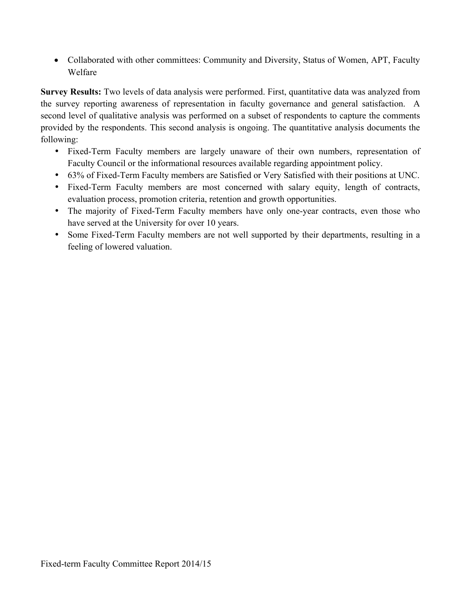Collaborated with other committees: Community and Diversity, Status of Women, APT, Faculty Welfare

**Survey Results:** Two levels of data analysis were performed. First, quantitative data was analyzed from the survey reporting awareness of representation in faculty governance and general satisfaction. A second level of qualitative analysis was performed on a subset of respondents to capture the comments provided by the respondents. This second analysis is ongoing. The quantitative analysis documents the following:

- Fixed-Term Faculty members are largely unaware of their own numbers, representation of Faculty Council or the informational resources available regarding appointment policy.
- 63% of Fixed-Term Faculty members are Satisfied or Very Satisfied with their positions at UNC.
- Fixed-Term Faculty members are most concerned with salary equity, length of contracts, evaluation process, promotion criteria, retention and growth opportunities.
- The majority of Fixed-Term Faculty members have only one-year contracts, even those who have served at the University for over 10 years.
- Some Fixed-Term Faculty members are not well supported by their departments, resulting in a feeling of lowered valuation.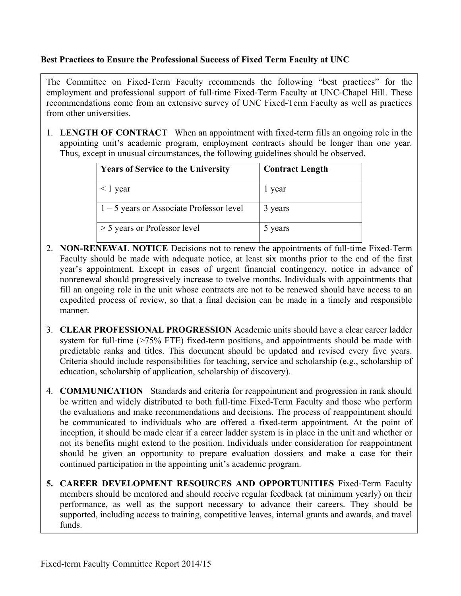### **Best Practices to Ensure the Professional Success of Fixed Term Faculty at UNC**

The Committee on Fixed-Term Faculty recommends the following "best practices" for the employment and professional support of full-time Fixed-Term Faculty at UNC-Chapel Hill. These recommendations come from an extensive survey of UNC Fixed-Term Faculty as well as practices from other universities.

1. **LENGTH OF CONTRACT** When an appointment with fixed-term fills an ongoing role in the appointing unit's academic program, employment contracts should be longer than one year. Thus, except in unusual circumstances, the following guidelines should be observed.

| <b>Years of Service to the University</b>  | <b>Contract Length</b> |
|--------------------------------------------|------------------------|
| $\leq$ 1 year                              | 1 year                 |
| $1 - 5$ years or Associate Professor level | 3 years                |
| > 5 years or Professor level               | 5 years                |

- 2. **NON-RENEWAL NOTICE** Decisions not to renew the appointments of full-time Fixed-Term Faculty should be made with adequate notice, at least six months prior to the end of the first year's appointment. Except in cases of urgent financial contingency, notice in advance of nonrenewal should progressively increase to twelve months. Individuals with appointments that fill an ongoing role in the unit whose contracts are not to be renewed should have access to an expedited process of review, so that a final decision can be made in a timely and responsible manner.
- 3. **CLEAR PROFESSIONAL PROGRESSION** Academic units should have a clear career ladder system for full-time  $(>=75\%$  FTE) fixed-term positions, and appointments should be made with predictable ranks and titles. This document should be updated and revised every five years. Criteria should include responsibilities for teaching, service and scholarship (e.g., scholarship of education, scholarship of application, scholarship of discovery).
- 4. **COMMUNICATION** Standards and criteria for reappointment and progression in rank should be written and widely distributed to both full-time Fixed-Term Faculty and those who perform the evaluations and make recommendations and decisions. The process of reappointment should be communicated to individuals who are offered a fixed-term appointment. At the point of inception, it should be made clear if a career ladder system is in place in the unit and whether or not its benefits might extend to the position. Individuals under consideration for reappointment should be given an opportunity to prepare evaluation dossiers and make a case for their continued participation in the appointing unit's academic program.
- **5. CAREER DEVELOPMENT RESOURCES AND OPPORTUNITIES** Fixed‐Term Faculty members should be mentored and should receive regular feedback (at minimum yearly) on their performance, as well as the support necessary to advance their careers. They should be supported, including access to training, competitive leaves, internal grants and awards, and travel funds.